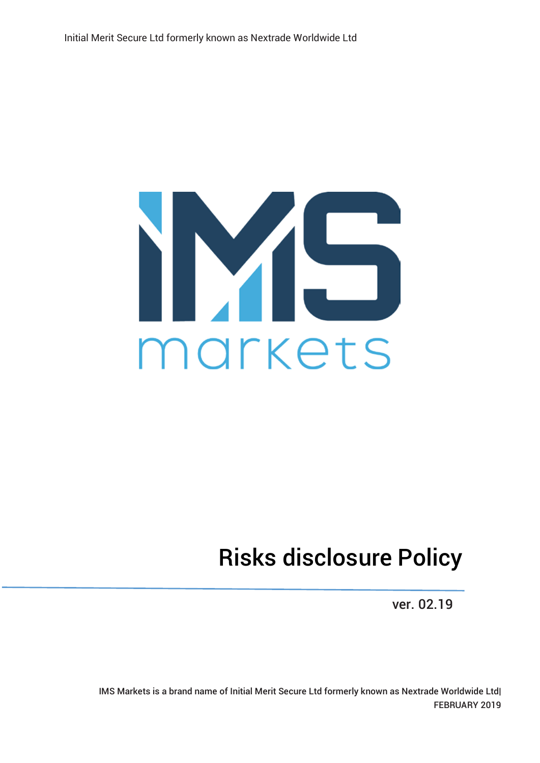

## Risks disclosure Policy

ver. 02.19

IMS Markets is a brand name of Initial Merit Secure Ltd formerly known as Nextrade Worldwide Ltd| FEBRUARY 2019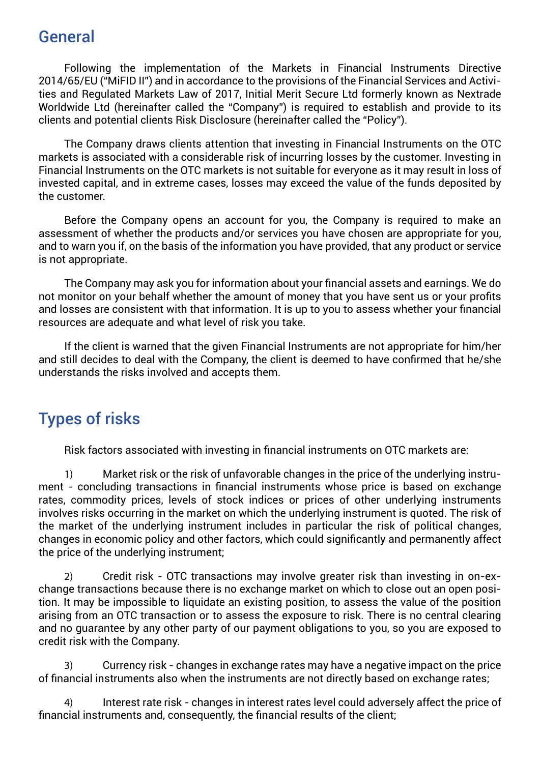## General

Following the implementation of the Markets in Financial Instruments Directive 2014/65/EU ("MiFID II") and in accordance to the provisions of the Financial Services and Activities and Regulated Markets Law of 2017, Initial Merit Secure Ltd formerly known as Nextrade Worldwide Ltd (hereinafter called the "Company") is required to establish and provide to its clients and potential clients Risk Disclosure (hereinafter called the "Policy").

The Company draws clients attention that investing in Financial Instruments on the OTC markets is associated with a considerable risk of incurring losses by the customer. Investing in Financial Instruments on the OTC markets is not suitable for everyone as it may result in loss of invested capital, and in extreme cases, losses may exceed the value of the funds deposited by the customer.

Before the Company opens an account for you, the Company is required to make an assessment of whether the products and/or services you have chosen are appropriate for you, and to warn you if, on the basis of the information you have provided, that any product or service is not appropriate.

The Company may ask you for information about your financial assets and earnings. We do not monitor on your behalf whether the amount of money that you have sent us or your profits and losses are consistent with that information. It is up to you to assess whether your financial resources are adequate and what level of risk you take.

If the client is warned that the given Financial Instruments are not appropriate for him/her and still decides to deal with the Company, the client is deemed to have confirmed that he/she understands the risks involved and accepts them.

## Types of risks

Risk factors associated with investing in financial instruments on OTC markets are:

1) Market risk or the risk of unfavorable changes in the price of the underlying instrument - concluding transactions in financial instruments whose price is based on exchange rates, commodity prices, levels of stock indices or prices of other underlying instruments involves risks occurring in the market on which the underlying instrument is quoted. The risk of the market of the underlying instrument includes in particular the risk of political changes, changes in economic policy and other factors, which could significantly and permanently affect the price of the underlying instrument;

2) Credit risk - OTC transactions may involve greater risk than investing in on-exchange transactions because there is no exchange market on which to close out an open position. It may be impossible to liquidate an existing position, to assess the value of the position arising from an OTC transaction or to assess the exposure to risk. There is no central clearing and no guarantee by any other party of our payment obligations to you, so you are exposed to credit risk with the Company.

3) Currency risk - changes in exchange rates may have a negative impact on the price of financial instruments also when the instruments are not directly based on exchange rates;

4) Interest rate risk - changes in interest rates level could adversely affect the price of financial instruments and, consequently, the financial results of the client;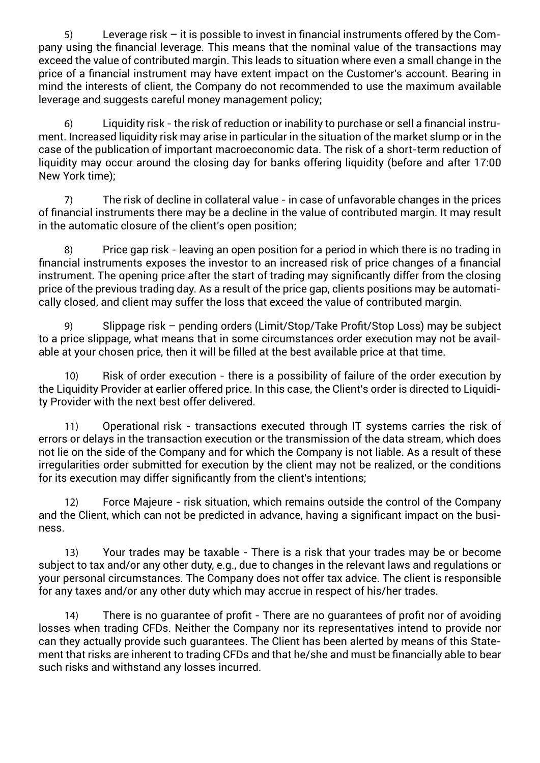5) Leverage risk – it is possible to invest in financial instruments offered by the Company using the financial leverage. This means that the nominal value of the transactions may exceed the value of contributed margin. This leads to situation where even a small change in the price of a financial instrument may have extent impact on the Customer's account. Bearing in mind the interests of client, the Company do not recommended to use the maximum available leverage and suggests careful money management policy;

6) Liquidity risk - the risk of reduction or inability to purchase or sell a financial instrument. Increased liquidity risk may arise in particular in the situation of the market slump or in the case of the publication of important macroeconomic data. The risk of a short-term reduction of liquidity may occur around the closing day for banks offering liquidity (before and after 17:00 New York time);

7) The risk of decline in collateral value - in case of unfavorable changes in the prices of financial instruments there may be a decline in the value of contributed margin. It may result in the automatic closure of the client's open position;

8) Price gap risk - leaving an open position for a period in which there is no trading in financial instruments exposes the investor to an increased risk of price changes of a financial instrument. The opening price after the start of trading may significantly differ from the closing price of the previous trading day. As a result of the price gap, clients positions may be automatically closed, and client may suffer the loss that exceed the value of contributed margin.

9) Slippage risk – pending orders (Limit/Stop/Take Profit/Stop Loss) may be subject to a price slippage, what means that in some circumstances order execution may not be available at your chosen price, then it will be filled at the best available price at that time.

10) Risk of order execution - there is a possibility of failure of the order execution by the Liquidity Provider at earlier offered price. In this case, the Client's order is directed to Liquidity Provider with the next best offer delivered.

11) Operational risk - transactions executed through IT systems carries the risk of errors or delays in the transaction execution or the transmission of the data stream, which does not lie on the side of the Company and for which the Company is not liable. As a result of these irregularities order submitted for execution by the client may not be realized, or the conditions for its execution may differ significantly from the client's intentions;

12) Force Majeure - risk situation, which remains outside the control of the Company and the Client, which can not be predicted in advance, having a significant impact on the business.

13) Your trades may be taxable - There is a risk that your trades may be or become subject to tax and/or any other duty, e.g., due to changes in the relevant laws and regulations or your personal circumstances. The Company does not offer tax advice. The client is responsible for any taxes and/or any other duty which may accrue in respect of his/her trades.

14) There is no guarantee of profit - There are no guarantees of profit nor of avoiding losses when trading CFDs. Neither the Company nor its representatives intend to provide nor can they actually provide such guarantees. The Client has been alerted by means of this Statement that risks are inherent to trading CFDs and that he/she and must be financially able to bear such risks and withstand any losses incurred.